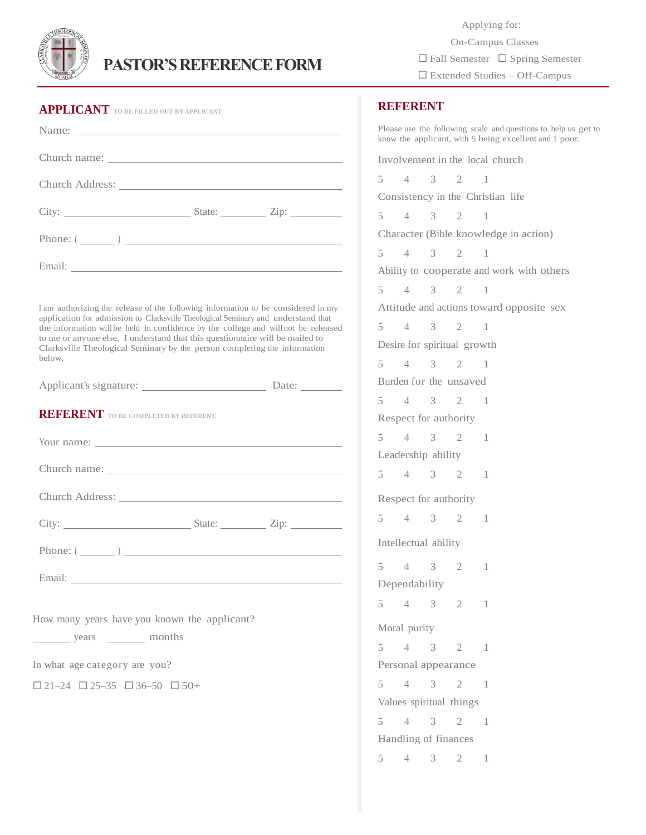

## **PASTOR'S REFERENCE FORM**

| <b>APPLICANT</b> TO BE FILLED OUT BY APPLICANT.                                                                                                                                                                                                                                                                                                                                                                                    |  |
|------------------------------------------------------------------------------------------------------------------------------------------------------------------------------------------------------------------------------------------------------------------------------------------------------------------------------------------------------------------------------------------------------------------------------------|--|
|                                                                                                                                                                                                                                                                                                                                                                                                                                    |  |
|                                                                                                                                                                                                                                                                                                                                                                                                                                    |  |
|                                                                                                                                                                                                                                                                                                                                                                                                                                    |  |
|                                                                                                                                                                                                                                                                                                                                                                                                                                    |  |
| Phone: $(\_\_)$                                                                                                                                                                                                                                                                                                                                                                                                                    |  |
|                                                                                                                                                                                                                                                                                                                                                                                                                                    |  |
| I am authorizing the release of the following information to be considered in my<br>application for admission to Clarksville Theological Seminary and understand that<br>the information will be held in confidence by the college and will not be released<br>to me or anyone else. I understand that this questionnaire will be mailed to<br>Clarksville Theological Seminary by the person completing the information<br>below. |  |
|                                                                                                                                                                                                                                                                                                                                                                                                                                    |  |
| <b>REFERENT</b> TO BE COMPLETED BY REFERENT.                                                                                                                                                                                                                                                                                                                                                                                       |  |
|                                                                                                                                                                                                                                                                                                                                                                                                                                    |  |
|                                                                                                                                                                                                                                                                                                                                                                                                                                    |  |
|                                                                                                                                                                                                                                                                                                                                                                                                                                    |  |
|                                                                                                                                                                                                                                                                                                                                                                                                                                    |  |
| Phone: $(\_\_\_\_)$                                                                                                                                                                                                                                                                                                                                                                                                                |  |
|                                                                                                                                                                                                                                                                                                                                                                                                                                    |  |
|                                                                                                                                                                                                                                                                                                                                                                                                                                    |  |
| How many years have you known the applicant?<br>years <u>with months</u>                                                                                                                                                                                                                                                                                                                                                           |  |
| In what age category are you?                                                                                                                                                                                                                                                                                                                                                                                                      |  |
| $\Box$ 21-24 $\Box$ 25-35 $\Box$ 36-50 $\Box$ 50+                                                                                                                                                                                                                                                                                                                                                                                  |  |
|                                                                                                                                                                                                                                                                                                                                                                                                                                    |  |
|                                                                                                                                                                                                                                                                                                                                                                                                                                    |  |

 Applying for: On-Campus Classes  $\Box$  Fall Semester  $\Box$  Spring Semester Extended Studies – Off-Campus

## $\Gamma$  –  $\sim$   $\sim$   $\sim$   $\sim$   $\sim$ **REFERENT**

Please use the following scale and questions to help us get to know the applicant, with 5 being excellent and 1 poor. Involvement in the local church 5 4 3 2 1 Consistency in the Christian life 5 4 3 2 1 Character (Bible knowledge in action) 5 4 3 2 1 Ability to cooperate and work with others 5 4 3 2 1 Attitude and actions toward opposite sex 5 4 3 2 1 Desire for spiritual growth 5 4 3 2 1 Burden for the unsaved 5 4 3 2 1 Respect for authority 5 4 3 2 1 Leadership ability 5 4 3 2 1 Respect for authority 5 4 3 2 1 Intellectual ability 5 4 3 2 1 Dependability 5 4 3 2 1 Moral purity 5 4 3 2 1 Personal appearance 5 4 3 2 1 Values spiritual things 5 4 3 2 1 Handling of finances 5 4 3 2 1